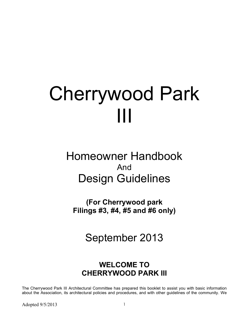# Cherrywood Park III

# Homeowner Handbook And Design Guidelines

(For Cherrywood park Filings #3, #4, #5 and #6 only)

September 2013

# WELCOME TO CHERRYWOOD PARK III

The Cherrywood Park III Architectural Committee has prepared this booklet to assist you with basic information about the Association, its architectural policies and procedures, and with other guidelines of the community. We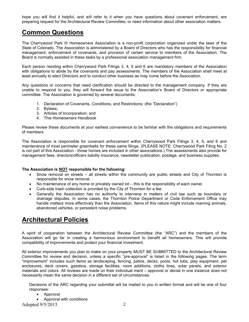hope you will find it helpful, and will refer to it when you have questions about covenant enforcement, are preparing request for the Architectural Review Committee, or need information about other association matters.

### Common Questions

The Cherrywood Park III Homeowners Association is a non-profit corporation organized under the laws of the State of Colorado. The Association is administered by a Board of Directors who has the responsibility for financial management, enforcement of covenants, and provision of certain service to members of the Association. The Board is normally assisted in these tasks by a professional association management firm.

Each person residing within Cherrywood Park Filings 3, 4, 5 and 6 are mandatory members of the Association with obligations to abide by the covenants and pay assessments. The members of the Association shall meet at least annually to elect Directors and to conduct other business as may come before the Association.

Any questions or concerns that need clarification should be directed to the management company. If they are unable to respond to you, they will forward the issue to the Association's Board of Directors or appropriate committee. The Association is governed by several documents:

- 1. Declaration of Covenants, Conditions, and Restrictions; (the "Declaration")
- 2. Bylaws;
- 3. Articles of Incorporation; and
- 4. This Homeowners Handbook

Please review these documents at your earliest convenience to be familiar with the obligations and requirements of members.

The Association is responsible for covenant enforcement within Cherrywood Park Filings 3, 4, 5, and 6 and maintenance of most perimeter greenbelts for these same filings. (PLEASE NOTE: Cherrywood Park Filing No. 2 is not part of this Association - those homes are included in other associations.) The assessments also provide for management fees, directors/officers liability insurance, newsletter publication, postage, and business supplies.

#### The Association is NOT responsible for the following:

- Snow removal on streets all streets within the community are public streets and City of Thornton is responsible for snow removal.
- No maintenance of any home or privately owned lot this is the responsibility of each owner.
- Curb-side trash collection is provided by the City of Thornton for a fee.
- Generally the Association has no authority to intervene in matters of civil law such as boundary or drainage disputes. In some cases, the Thornton Police Department or Code Enforcement Office may handle matters more effectively than the Association. Items of this nature might include roaming animals, abandoned vehicles, or persistent noise problems.

### Architectural Policies

A spirit of cooperation between the Architectural Review Committee (the "ARC") and the members of the Association will go far in creating a harmonious environment to benefit all homeowners. This will provide compatibility of improvements and protect your financial investment.

All exterior improvements you plan to make on your property MUST BE SUBMITTED to the Architectural Review Committee for review and decision, unless a specific "pre-approval" is listed in the following pages. The term "improvement" includes such items as landscaping, fencing, patios, decks, pools, hot tubs, play equipment, pet enclosures, deck covers, gazebos, storage facilities, room additions, cloths lines, solar panels, and exterior materials and colors. All reviews are made on their individual merit – approval or denial in one instance does not necessarily mean the same decision in a different set of circumstances.

Decisions of the ARC regarding your submittal will be mailed to you in written format and will be one of four responses:

- Approval
- Approval with conditions

Adopted  $9/5/2013$  2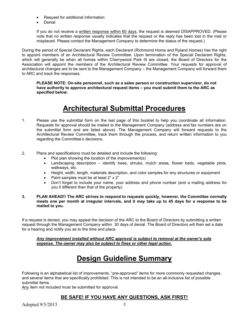- Request for additional information
- Denial

If you do not receive a written response within 60 days, the request is deemed DISAPPROVED. (Please note that no written response usually indicates that the request or the reply has been lost in the mail or misplaced. Please contact the Management Company to determine the status of the request.)

During the period of Special Declarant Rights, each Declarant (Richmond Home and Ryland Homes) has the right to appoint members of an Architectural Review Committee. Upon termination of the Special Declarant Rights, which will generally be when all homes within Cherrywood Park III are closed, the Board of Directors for the Association will appoint the members of the Architectural Review Committee. Your requests for approval of architectural changes are to be sent to the Management Company – the Management Company will forward them to ARC and track the responses.

PLEASE NOTE: On-site personnel, such as a sales person or construction supervisor, do not have authority to approve architectural request items – you must submit them to the ARC as specified below.

## Architectural Submittal Procedures

- 1. Please use the submittal form on the last page of this booklet to help you coordinate all information. Requests for approval should be mailed to the Management Company (address and fax numbers are on the submittal form and are listed above). The Management Company will forward requests to the Architectural Review Committee, track them through the process, and return written information to you regarding the Committee's decisions.
- 2. Plans and specifications must be detailed and include the following:
	- Plot plan showing the location of the improvement(s)
	- Landscaping description identify trees, shrubs, mulch areas, flower beds, vegetable plots, walkways, etc.
	- Height, width, length, materials description, and color samples for any structures or equipment
	- Paint samples must be at least 2" x 2"
	- Don't forget to include your name, your address and phone number (and a mailing address for you if different than that of the property)
- 3. PLAN AHEAD!! The ARC strives to respond to requests quickly, however, the Committee normally meets one per month at irregular intervals, and it may take up to 45 days for a response to be mailed to you.

If a request is denied, you may appeal the decision of the ARC to the Board of Directors by submitting a written request through the Management Company within 30 days of denial. The Board of Directors will then set a date for a hearing and notify you as to the time and place.

Any improvement installed without ARC approval is subject to removal at the owner's sole expense. The owner may also be subject to fines or other legal action.

# Design Guideline Summary

Following is an alphabetical list of improvements, "pre-approved" items for more commonly requested changes, and several items that are specifically prohibited. This is not intended to be an all-inclusive list of possible submittal items.

Any item not included must be submitted for approval.

#### BE SAFE! IF YOU HAVE ANY QUESTIONS, ASK FIRST!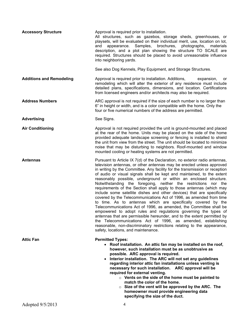| <b>Accessory Structure</b>      | Approval is required prior to installation.<br>All structures, such as gazebos, storage sheds, greenhouses, or<br>playsets, will be evaluated on their individual merit, use, location on lot,<br>brochures,<br>appearance. Samples,<br>photographs, materials<br>and<br>description, and a plot plan showing the structure TO SCALE are<br>required. Structures should be placed to avoid unreasonable influence<br>into neighboring yards.                                                                                                                                                                                                                                                                                                                                                                                                                                                                                                                                                                                                                                                                                                          |
|---------------------------------|-------------------------------------------------------------------------------------------------------------------------------------------------------------------------------------------------------------------------------------------------------------------------------------------------------------------------------------------------------------------------------------------------------------------------------------------------------------------------------------------------------------------------------------------------------------------------------------------------------------------------------------------------------------------------------------------------------------------------------------------------------------------------------------------------------------------------------------------------------------------------------------------------------------------------------------------------------------------------------------------------------------------------------------------------------------------------------------------------------------------------------------------------------|
|                                 | See also Dog Kennels, Play Equipment, and Storage Structures.                                                                                                                                                                                                                                                                                                                                                                                                                                                                                                                                                                                                                                                                                                                                                                                                                                                                                                                                                                                                                                                                                         |
| <b>Additions and Remodeling</b> | Approval is required prior to installation. Additions,<br>expansion,<br>or<br>remodeling which will alter the exterior of any residence must include<br>detailed plans, specifications, dimensions, and location. Certifications<br>from licensed engineers and/or architects may also be required.                                                                                                                                                                                                                                                                                                                                                                                                                                                                                                                                                                                                                                                                                                                                                                                                                                                   |
| <b>Address Numbers</b>          | ARC approval is not required if the size of each number is no larger than<br>6" in height or width, and is a color compatible with the home. Only the<br>four or five numerical numbers of the address are permitted.                                                                                                                                                                                                                                                                                                                                                                                                                                                                                                                                                                                                                                                                                                                                                                                                                                                                                                                                 |
| <b>Advertising</b>              | See Signs.                                                                                                                                                                                                                                                                                                                                                                                                                                                                                                                                                                                                                                                                                                                                                                                                                                                                                                                                                                                                                                                                                                                                            |
| <b>Air Conditioning</b>         | Approval is not required provided the unit is ground-mounted and placed<br>at the rear of the home. Units may be placed on the side of the home<br>provided adequate landscape screening or fencing is installed to shield<br>the unit from view from the street. The unit should be located to minimize<br>noise that may be disturbing to neighbors. Roof-mounted and window<br>mounted cooling or heating systems are not permitted.                                                                                                                                                                                                                                                                                                                                                                                                                                                                                                                                                                                                                                                                                                               |
| <b>Antennas</b>                 | Pursuant to Article IX 7(d) of the Declaration, no exterior radio antennas,<br>television antennas, or other antennas may be erected unless approved<br>in writing by the Committee. Any facility for the transmission or reception<br>of audio or visual signals shall be kept and maintained, to the extent<br>reasonably possible, underground or within an enclosed structure.<br>Notwithstanding the foregoing, neither the restrictions nor the<br>requirements of the Section shall apply to those antennas (which may<br>include some satellite dishes and other devices) that are specifically<br>covered by the Telecommunications Act of 1996, as amended from time<br>to time. As to antennas which are specifically covered by the<br>Telecommunications Act of 1996, as amended, the Committee shall be<br>empowered to adopt rules and regulations governing the types of<br>antennas that are permissible hereunder, and to the extent permitted by<br>the Telecommunications Act of 1996, as amended, establishing<br>reasonable, non-discriminatory restrictions relating to the appearance,<br>safety, locations, and maintenance. |
| <b>Attic Fan</b>                | <b>Permitted Types:</b><br>• Roof installation. An attic fan may be installed on the roof,<br>however, such installation must be as unobtrusive as<br>possible. ARC approval is required.<br>• Interior installation. The ARC will not set any guidelines<br>regarding interior attic fan installations unless venting is<br>necessary for such installation. ARC approval will be<br>required for external venting.<br>$\circ$ Vents on the side of the home must be painted to<br>match the color of the home.<br>$\circ$ Size of the vent will be approved by the ARC. The<br>homeowner must provide engineering data<br>specifying the size of the duct.                                                                                                                                                                                                                                                                                                                                                                                                                                                                                          |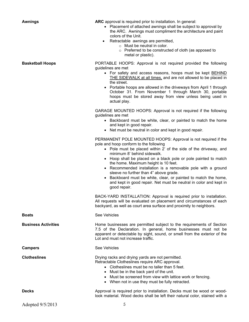Awnings **ARC** approval is required prior to installation. In general:

- Placement of attached awnings shall be subject to approval by the ARC. Awnings must compliment the architecture and paint colors of the Unit.
- Retractable awnings are permitted.
	- o Must be neutral in color.
	- o Preferred to be constructed of cloth (as apposed to metal or plastic).

**Basketball Hoops EXAGGE PORTABLE HOOPS:** Approval is not required provided the following guidelines are met

- For safety and access reasons, hoops must be kept BEHIND THE SIDEWALK at all times, and are not allowed to be placed in the street.
- Portable hoops are allowed in the driveways from April 1 through October 31. From November 1 through March 30, portable hoops must be stored away from view unless being used in actual play.

GARAGE MOUNTED HOOPS: Approval is not required if the following guidelines are met

- Backboard must be white, clear, or painted to match the home and kept in good repair.
- Net must be neutral in color and kept in good repair.

PERMANENT POLE MOUNTED HOOPS: Approval is not required if the pole and hoop conform to the following

- Pole must be placed within 2' of the side of the driveway, and minimum 8' behind sidewalk.
- Hoop shall be placed on a black pole or pole painted to match the home. Maximum height is 10 feet.
- Recommended installation is a removable pole with a ground sleeve no further than 4" above grade.
- Backboard must be white, clear, or painted to match the home, and kept in good repair. Net must be neutral in color and kept in good repair.

BACK-YARD INSTALLATION: Approval is required prior to installation. All requests will be evaluated on placement and circumstances of each backyard, as well as court area surface and proximity to neighbors.

Boats See Vehicles

Business Activities **Home businesses are permitted subject to the requirements of Section** 7.5 of the Declaration. In general, home businesses must not be apparent or detectable by sight, sound, or smell from the exterior of the Lot and must not increase traffic.

#### Campers See Vehicles

Clotheslines Drying racks and drying yards are not permitted. Retractable Clotheslines require ARC approval.

- Clotheslines must be no taller than 5 feet.
- Must be in the back yard of the unit.
- Must be screened from view with lattice work or fencing.

look material. Wood decks shall be left their natural color, stained with a

When not in use they must be fully retracted.

Decks **Approval is required prior to installation**. Decks must be wood or wood-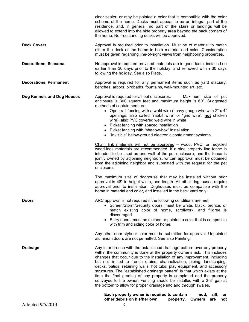|                               | clear sealer, or may be painted a color that is compatible with the color<br>scheme of the home. Decks must appear to be an integral part of the<br>residence, and, in general, no part of the stairs or landings will be<br>allowed to extend into the side property area beyond the back corners of<br>the home. No freestanding decks will be approved.                                                                                                                                                                                                                                                                                                                                                                                                                                                                                                                                                                                                                                                                                                                                                                                                                                                            |
|-------------------------------|-----------------------------------------------------------------------------------------------------------------------------------------------------------------------------------------------------------------------------------------------------------------------------------------------------------------------------------------------------------------------------------------------------------------------------------------------------------------------------------------------------------------------------------------------------------------------------------------------------------------------------------------------------------------------------------------------------------------------------------------------------------------------------------------------------------------------------------------------------------------------------------------------------------------------------------------------------------------------------------------------------------------------------------------------------------------------------------------------------------------------------------------------------------------------------------------------------------------------|
| <b>Deck Covers</b>            | Approval is required prior to installation. Must be of material to match<br>either the deck or the home in both material and color. Consideration<br>must be given regarding line-of-sight views from neighboring properties.                                                                                                                                                                                                                                                                                                                                                                                                                                                                                                                                                                                                                                                                                                                                                                                                                                                                                                                                                                                         |
| <b>Decorations, Seasonal</b>  | No approval is required provided materials are in good taste, installed no<br>earlier than 30 days prior to the holiday, and removed within 30 days<br>following the holiday. See also Flags.                                                                                                                                                                                                                                                                                                                                                                                                                                                                                                                                                                                                                                                                                                                                                                                                                                                                                                                                                                                                                         |
| <b>Decorations, Permanent</b> | Approval is required for any permanent items such as yard statuary,<br>benches, arbors, birdbaths, fountains, wall-mounted art, etc.                                                                                                                                                                                                                                                                                                                                                                                                                                                                                                                                                                                                                                                                                                                                                                                                                                                                                                                                                                                                                                                                                  |
| Dog Kennels and Dog Houses    | Approval is required for all pet enclosures.<br>Maximum size of pet<br>enclosure is 300 square feet and maximum height is 60". Suggested<br>methods of containment are<br>• Open rail fencing with a weld wire (heavy gauge wire with 2" x 4"<br>openings, also called "rabbit wire" or "grid wire", not chicken<br>wire), also PVC covered weld wire in white<br>• Picket fencing with spaced installation<br>• Picket fencing with "shadow-box" installation<br>• "Invisible" below-ground electronic containment systems.<br>Chain link materials will not be approved - wood, PVC, or recycled<br>wood-look materials are recommended. If a side property line fence is<br>intended to be used as one wall of the pet enclosure, and the fence is<br>jointly owned by adjoining neighbors, written approval must be obtained<br>from the adjoining neighbor and submitted with the request for the pet<br>enclosure.<br>The maximum size of doghouse that may be installed without prior<br>approval is 48" in height width, and length. All other doghouses require<br>approval prior to installation. Doghouses must be compatible with the<br>home in material and color, and installed in the back yard only. |
| <b>Doors</b>                  | ARC approval is not required if the following conditions are met<br>• Screen/Storm/Security doors: must be white, black, bronze, or<br>match existing color of home, scrollwork, and filigree is<br>discouraged.<br>• Entry doors: must be stained or painted a color that is compatible<br>with trim and siding color of home.<br>Any other door style or color must be submitted for approval. Unpainted<br>aluminum doors are not permitted. See also Painting.                                                                                                                                                                                                                                                                                                                                                                                                                                                                                                                                                                                                                                                                                                                                                    |
| <b>Drainage</b>               | Any interference with the established drainage pattern over any property<br>within the community is done at the property owner's risk. This includes<br>changes that occur due to the installation of any improvement, including<br>but not limited to french drains, channelization, piping, landscaping,<br>decks, patios, retaining walls, hot tubs, play equipment, and accessory<br>structures. The "established drainage pattern" is that which exists at the<br>time the final grading of any property is completed and the property<br>conveyed to the owner. Fencing should be installed with a 2-3" gap at<br>the bottom to allow for proper drainage into and through swales.                                                                                                                                                                                                                                                                                                                                                                                                                                                                                                                              |
| Adopted 9/5/2013              | Each property owner is required to contain<br>mud,<br>silt,<br>or<br>other debris on his/her own<br>property.<br><b>Owners</b><br>not<br>are<br>6                                                                                                                                                                                                                                                                                                                                                                                                                                                                                                                                                                                                                                                                                                                                                                                                                                                                                                                                                                                                                                                                     |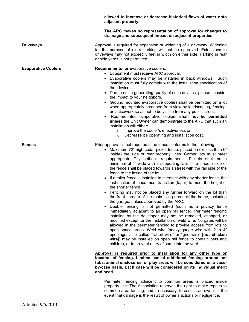|                            | allowed to increase or decrease historical flows of water onto<br>adjacent property.                                                                                                                                                                                                                                                                                                                                                                                                                                                                                                                                                                                                                                                                                                                                                                                                                                                                                                                                                                                                                                                                                                                                                                                                                                                                                                                                                                                                                                                                                                                                                                                                                       |
|----------------------------|------------------------------------------------------------------------------------------------------------------------------------------------------------------------------------------------------------------------------------------------------------------------------------------------------------------------------------------------------------------------------------------------------------------------------------------------------------------------------------------------------------------------------------------------------------------------------------------------------------------------------------------------------------------------------------------------------------------------------------------------------------------------------------------------------------------------------------------------------------------------------------------------------------------------------------------------------------------------------------------------------------------------------------------------------------------------------------------------------------------------------------------------------------------------------------------------------------------------------------------------------------------------------------------------------------------------------------------------------------------------------------------------------------------------------------------------------------------------------------------------------------------------------------------------------------------------------------------------------------------------------------------------------------------------------------------------------------|
|                            | The ARC makes no representation of approval for changes to<br>drainage and subsequent impact on adjacent properties.                                                                                                                                                                                                                                                                                                                                                                                                                                                                                                                                                                                                                                                                                                                                                                                                                                                                                                                                                                                                                                                                                                                                                                                                                                                                                                                                                                                                                                                                                                                                                                                       |
| <b>Driveways</b>           | Approval is required for expansion or widening of a driveway. Widening<br>for the purpose of extra parking will not be approved. Extensions to<br>driveways may not exceed 3 feet in width on either side. Parking in rear<br>or side yards is not permitted.                                                                                                                                                                                                                                                                                                                                                                                                                                                                                                                                                                                                                                                                                                                                                                                                                                                                                                                                                                                                                                                                                                                                                                                                                                                                                                                                                                                                                                              |
| <b>Evaporative Coolers</b> | Requirements for evaporative coolers:<br>• Equipment must receive ARC approval.<br>• Evaporative coolers may be installed in back windows. Such<br>installation must fully comply with the installation specification of<br>that device.<br>• Due to noise-generating quality of such devices, please consider<br>the impact to your neighbors.<br>Ground mounted evaporative coolers shall be permitted on a lot<br>when appropriately screened from view by landscaping, fencing,<br>or latticework so as not to be visible from any public street.<br>Roof-mounted evaporative coolers shall not be permitted<br>unless the Unit Owner can demonstrate to the ARC that such an<br>installation will either:<br>Improve the cooler's effectiveness or<br>$\circ$<br>Decrease it's operating and installation cost.<br>$\circ$                                                                                                                                                                                                                                                                                                                                                                                                                                                                                                                                                                                                                                                                                                                                                                                                                                                                            |
| <b>Fences</b>              | Prior approval is not required if the fence conforms to the following<br>• Maximum 72" high cedar picket fence, placed on (or less than 6"<br>inside) the side or rear property lines. Corner lots must meet<br>appropriate City setback requirements. Pickets shall be a<br>minimum of 4" wide with 3 supporting rails. The smooth side of<br>the fence shall be placed towards a street with the rail side of the<br>fence to the inside of the lot.<br>• If a taller fence is installed to intersect with any shorter fence, the<br>last section of fence must transition (taper) to meet the height of<br>the shorter fence.<br>Fencing may not be placed any further forward on the lot than<br>the front corners of the main living areas of the home, including<br>the garage, unless approved by the ARC.<br>Double fencing is not permitted (such as a privacy fence<br>immediately adjacent to an open rail fence). Perimeter fencing<br>installed by the developer may not be removed, changed, or<br>modified except for the installation of weld wire. No gates will be<br>allowed in the perimeter fencing to provide access from lots to<br>open space areas. Weld wire (heavy gauge wire with 2" x 4"<br>openings, also called "rabbit wire" or "grid wire" [not chicken<br>wire]) may be installed on open rail fence to contain pets and<br>children, or to prevent entry of same into the yard.<br>Approval is required prior to installation for any other type or<br>location of fencing. Limited use of additional fencing around hot<br>tubs, animal enclosures, or play areas will be considered on a case-<br>by-case basis. Each case will be considered on its individual merit |
|                            | and need.<br>Perimeter fencing adjacent to common areas is placed inside                                                                                                                                                                                                                                                                                                                                                                                                                                                                                                                                                                                                                                                                                                                                                                                                                                                                                                                                                                                                                                                                                                                                                                                                                                                                                                                                                                                                                                                                                                                                                                                                                                   |

property line. The Association reserves the right to make repairs to common area fencing, and if necessary, to assess an owner in the event that damage is the result of owner's actions or negligence.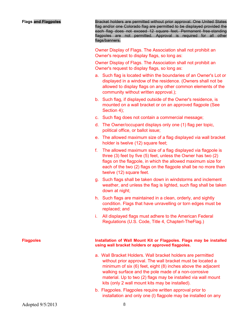Flags and Flagpoles **Bracket holders are permitted without prior** approval. One United States flag and/or one Colorado flag are permitted to be displayed provided the each flag does not exceed 12 square feet. Permanent free-standing flagpoles are not permitted. Approval is required for all other flags/banners.

> Owner Display of Flags. The Association shall not prohibit an Owner's request to display flags, so long as:

> Owner Display of Flags. The Association shall not prohibit an Owner's request to display flags, so long as:

- a. Such flag is located within the boundaries of an Owner's Lot or displayed in a window of the residence. (Owners shall not be allowed to display flags on any other common elements of the community without written approval.);
- b. Such flag, if displayed outside of the Owner's residence, is mounted on a wall bracket or on an approved flagpole (See Section 4);
- c. Such flag does not contain a commercial message;
- d. The Owner/occupant displays only one (1) flag per topic, political office, or ballot issue;
- e. The allowed maximum size of a flag displayed via wall bracket holder is twelve (12) square feet;
- f. The allowed maximum size of a flag displayed via flagpole is three (3) feet by five (5) feet, unless the Owner has two (2) flags on the flagpole, in which the allowed maximum size for each of the two (2) flags on the flagpole shall be no more than twelve (12) square feet.
- g. Such flags shall be taken down in windstorms and inclement weather, and unless the flag is lighted, such flag shall be taken down at night;
- h. Such flags are maintained in a clean, orderly, and sightly condition. Flags that have unravelling or torn edges must be replaced; and
- i. All displayed flags must adhere to the American Federal Regulations (U.S. Code, Title 4, Chapterl-TheFlag.)

#### Flagpoles **Installation of Wall Mount Kit or Flagpoles. Flags may be installed** using wall bracket holders or approved flagpoles.

- a. Wall Bracket Holders. Wall bracket holders are permitted without prior approval. The wall bracket must be located a minimum of six (6) feet, eight (8) inches above the adjacent walking surface and the pole made of a non-corrosive material. Up to two (2) flags may be installed via wall mount kits (only 2 wall mount kits may be installed).
- b. Flagpoles. Flagpoles require written approval prior to installation and only one (l) flagpole may be installed on any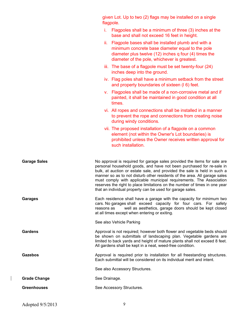|                     | given Lot. Up to two (2) flags may be installed on a single<br>flagpole.                                                                                                                                                                                                                                                                                                                                                                                                                                                    |
|---------------------|-----------------------------------------------------------------------------------------------------------------------------------------------------------------------------------------------------------------------------------------------------------------------------------------------------------------------------------------------------------------------------------------------------------------------------------------------------------------------------------------------------------------------------|
|                     | i.<br>Flagpoles shall be a minimum of three (3) inches at the<br>base and shall not exceed 16 feet in height.                                                                                                                                                                                                                                                                                                                                                                                                               |
|                     | ii. Flagpole bases shall be installed plumb and with a<br>minimum concrete base diameter equal to the pole<br>diameter plus twelve (12) inches q four (4) times the<br>diameter of the pole, whichever is greatest.                                                                                                                                                                                                                                                                                                         |
|                     | iii. The base of a flagpole must be set twenty-four (24)<br>inches deep into the ground.                                                                                                                                                                                                                                                                                                                                                                                                                                    |
|                     | iv. Flag poles shall have a minimum setback from the street<br>and property boundaries of sixteen (16) feet.                                                                                                                                                                                                                                                                                                                                                                                                                |
|                     | v. Flagpoles shall be made of a non-corrosive metal and if<br>painted, it shall be maintained in good condition at all<br>times.                                                                                                                                                                                                                                                                                                                                                                                            |
|                     | vi. All ropes and connections shall be installed in a manner<br>to prevent the rope and connections from creating noise<br>during windy conditions.                                                                                                                                                                                                                                                                                                                                                                         |
|                     | vii. The proposed installation of a flagpole on a common<br>element (not within the Owner's Lot boundaries) is<br>prohibited unless the Owner receives written approval for<br>such installation.                                                                                                                                                                                                                                                                                                                           |
| <b>Garage Sales</b> | No approval is required for garage sales provided the items for sale are<br>personal household goods, and have not been purchased for re-sale in<br>bulk, at auction or estate sale, and provided the sale is held in such a<br>manner so as to not disturb other residents of the area. All garage sales<br>must comply with applicable municipal requirements. The Association<br>reserves the right to place limitations on the number of times in one year<br>that an individual property can be used for garage sales. |
| <b>Garages</b>      | Each residence shall have a garage with the capacity for minimum two<br>cars. No garages shall exceed capacity for four cars. For safety<br>well as aesthetics, garage doors should be kept closed<br>reasons as<br>at all times except when entering or exiting.                                                                                                                                                                                                                                                           |
|                     | See also Vehicle Parking                                                                                                                                                                                                                                                                                                                                                                                                                                                                                                    |
| Gardens             | Approval is not required; however both flower and vegetable beds should<br>be shown on submittals of landscaping plan. Vegetable gardens are<br>limited to back yards and height of mature plants shall not exceed 8 feet.<br>All gardens shall be kept in a neat, weed-free condition.                                                                                                                                                                                                                                     |
| Gazebos             | Approval is required prior to installation for all freestanding structures.<br>Each submittal will be considered on its individual merit and intent.                                                                                                                                                                                                                                                                                                                                                                        |
|                     | See also Accessory Structures.                                                                                                                                                                                                                                                                                                                                                                                                                                                                                              |
| <b>Grade Change</b> | See Drainage.                                                                                                                                                                                                                                                                                                                                                                                                                                                                                                               |
| <b>Greenhouses</b>  | See Accessory Structures.                                                                                                                                                                                                                                                                                                                                                                                                                                                                                                   |

 $\mathbf{I}$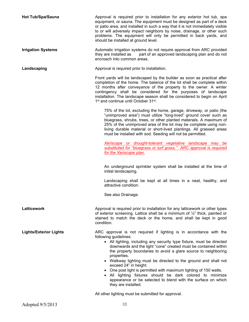Hot Tub/Spa/Sauna **Approval is required prior to installation** for any exterior hot tub, spa equipment, or sauna. The equipment must be designed as part of a deck or patio area, and installed in such a way that it is not immediately visible to or will adversely impact neighbors by noise, drainage, or other such problems. The equipment will only be permitted in back yards, and should be installed at ground level. **Irrigation Systems** Automatic irrigation systems do not require approval from ARC provided they are installed as part of an approved landscaping plan and do not encroach into common areas. Landscaping **Landscaping Approval is required prior to installation.** Front yards will be landscaped by the builder as soon as practical after completion of the home. The balance of the lot shall be complete within 12 months after conveyance of the property to the owner. A winter contingency shall be considered for the purposes of landscape installation. The landscape season shall be considered to begin on April 1<sup>st</sup> and continue until October 31<sup>st</sup>. 75% of the lot, excluding the home, garage, driveway, or patio (the "unimproved area") must utilize "long-lived" ground cover such as bluegrass, shrubs, trees, or other planted materials. A maximum of 25% of the unimproved area of the lot may be complete using nonliving durable material or short-lived plantings. All grassed areas must be installed with sod. Seeding will not be permitted. Xeriscape or drought-tolerant vegetative landscape may be substituted for "bluegrass or turf grass." ARC approval is required for the Xeriscape plan. An underground sprinkler system shall be installed at the time of initial landscaping. Landscaping shall be kept at all times in a neat, healthy, and attractive condition. See also Drainage. Latticework **Approval is required prior to installation for any latticework or other types** of exterior screening. Lattice shall be a minimum of  $\frac{1}{2}$ " thick, painted or stained to match the deck or the home, and shall be kept in good condition. Lights/Exterior Lights **ARC** approval is not required if lighting is in accordance with the following guidelines: All lighting, including any security type fixture, must be directed downwards and the light "cone" created must be contained within the property boundaries to avoid a glare source to neighboring properties. Walkway lighting must be directed to the ground and shall not exceed 24" in height. One post light is permitted with maximum lighting of 150 watts. All lighting fixtures should be dark colored to minimize appearance or be selected to blend with the surface on which they are installed.

All other lighting must be submitted for approval.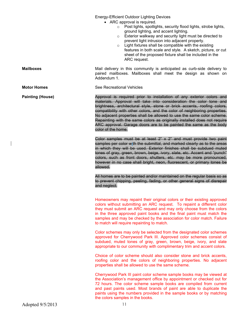Energy-Efficient Outdoor Lighting Devices

- ARC approval is required.
	- $\circ$  Post lights, spotlights, security flood lights, strobe lights, ground lighting, and accent lighting.
	- o Exterior walkway and security light must be directed to prevent light intrusion into adjacent property.
	- $\circ$  Light fixtures shall be compatible with the existing features in both scale and style. A sketch, picture, or cut sheet of the proposed fixture shall be included in the ARC request.

**Mailboxes** Mail delivery in this community is anticipated as curb-side delivery to paired mailboxes. Mailboxes shall meet the design as shown on Addendum 1.

Motor Homes See Recreational Vehicles

Painting (House) **Approval is required prior to installation of any exterior colors and** materials. Approval will take into consideration the color tone and brightness, architectural style, stone or brick accents, roofing colors, compatibility with other colors, and the color of neighboring properties. No adjacent properties shall be allowed to use the same color scheme. Repainting with the same colors as originally installed does not require ARC approval. Garage doors are to be painted the same as the body color of the home.

> Color samples must be at least 2" x 2" and must provide two paint samples per color with the submittal, and marked clearly as to the areas in which they will be used. Exterior finishes shall be subdued muted tones of gray, green, brown, beige, ivory, slate, etc. Accent and "punch" colors, such as front doors, shutters, etc. may be more pronounced, however in no case shall bright, neon, fluorescent, or primary tones be allowed.

> All homes are to be painted and/or maintained on the regular basis so as to prevent chipping, peeling, fading, or other general signs of disrepair and neglect.

> Homeowners may repaint their original colors or their existing approved colors without submitting an ARC request. To repaint a different color they must submit an ARC request and may only choose from the colors in the three approved paint books and the final paint must match the samples and may be checked by the association for color match. Failure to match will require repainting to match.

> Color schemes may only be selected from the designated color schemes approved for Cherrywood Park III. Approved color schemes consist of subdued, muted tones of gray, green, brown, beige, ivory, and slate appropriate to our community with complimentary trim and accent colors.

> Choice of color scheme should also consider stone and brick accents, roofing color and the colors of neighboring properties. No adjacent properties shall be allowed to use the same scheme.

> Cherrywood Park III paint color scheme sample books may be viewed at the Association's management office by appointment or checked out for 72 hours. The color scheme sample books are compiled from current and past paints used. Most brands of paint are able to duplicate the paints using the numbers provided in the sample books or by matching the colors samples in the books.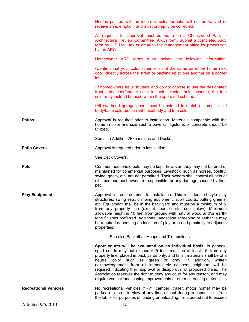|                              | Homes painted with an incorrect color formula, will not be waived or<br>receive an exemption, and must promptly be corrected.                                                                                                                                                                                                                                                                                                                                                                                                                                                                            |
|------------------------------|----------------------------------------------------------------------------------------------------------------------------------------------------------------------------------------------------------------------------------------------------------------------------------------------------------------------------------------------------------------------------------------------------------------------------------------------------------------------------------------------------------------------------------------------------------------------------------------------------------|
|                              | All requests for approval must be made on a Cherrywood Park III<br>Architectural Review Committee (ARC) form. Submit a completed ARC<br>form by U.S Mail, fax or email to the management office for processing<br>by the ARC.                                                                                                                                                                                                                                                                                                                                                                            |
|                              | Homeowner ARC forms must include the following information:                                                                                                                                                                                                                                                                                                                                                                                                                                                                                                                                              |
|                              | .Confirm that your color scheme is not the same as either home next<br>door, directly across the street or backing up to one another on a corner<br>lot.                                                                                                                                                                                                                                                                                                                                                                                                                                                 |
|                              | If homeowners have shutters and do not choose to use the designated<br>front entry door/shutter color in their selected paint scheme, the trim<br>color may instead be used within the approved scheme.                                                                                                                                                                                                                                                                                                                                                                                                  |
|                              | .All overhead garage doors must be painted to match a home's solid<br>body/base color.be current base/body and trim color                                                                                                                                                                                                                                                                                                                                                                                                                                                                                |
| <b>Patios</b>                | Approval is required prior to installation. Materials compatible with the<br>home in color and size such a pavers, flagstone, or concrete should be<br>utilized.                                                                                                                                                                                                                                                                                                                                                                                                                                         |
|                              | See also Additions/Expansions and Decks.                                                                                                                                                                                                                                                                                                                                                                                                                                                                                                                                                                 |
| <b>Patio Covers</b>          | Approval is required prior to installation.                                                                                                                                                                                                                                                                                                                                                                                                                                                                                                                                                              |
|                              | See Deck Covers.                                                                                                                                                                                                                                                                                                                                                                                                                                                                                                                                                                                         |
| <b>Pets</b>                  | Common household pets may be kept; however, they may not be bred or<br>maintained for commercial purposes. Livestock, such as horses, poultry,<br>swine, goats, etc. are not permitted. Their owners shall control all pets at<br>all times and each owner is responsible for any damage caused by their<br>pet.                                                                                                                                                                                                                                                                                         |
| <b>Play Equipment</b>        | Approval is required prior to installation. This includes fort-style play<br>structures, swing sets, climbing equipment, sport courts, putting greens,<br>etc. Equipment shall be in the back yard and must be a minimum of 6'<br>from any property line (except sport courts, see below). Maximum<br>allowable height is 10 feet from ground with natural wood and/or earth-<br>tone finishes preferred. Additional landscape screening or setbacks may<br>be required depending on location of play area and proximity to adjacent<br>properties.                                                      |
|                              | See also Basketball Hoops and Trampolines.                                                                                                                                                                                                                                                                                                                                                                                                                                                                                                                                                               |
|                              | Sport courts will be evaluated on an individual basis. In general,<br>sport courts may not exceed 625 feet, must be at least 15' from any<br>property line, placed in back yards only, and finish materials shall be of a<br>neutral color such<br>as green or gray.<br>addition,<br>written<br>In.<br>acknowledgement from all immediately adjacent neighbors will be<br>required indicating their approval or disapproval of proposed plans. The<br>Association reserves the right to deny any court for any reason, and may<br>require vertical landscaping improvements or other screening material. |
| <b>Recreational Vehicles</b> | No recreational vehicles ("RV", camper, trailer, motor home) may be<br>parked or stored in view at any time except during transport to or from<br>the lot, or for purposes of loading or unloading, for a period not to exceed                                                                                                                                                                                                                                                                                                                                                                           |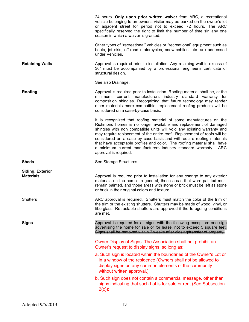|                                             | 24 hours. Only upon prior written waiver from ARC, a recreational<br>vehicle belonging to an owner's visitor may be parked on the owner's lot<br>or adjacent street for period not to exceed 72 hours. The ARC<br>specifically reserved the right to limit the number of time sin any one<br>season in which a waiver is granted.                                                                                                                                                                                                             |
|---------------------------------------------|-----------------------------------------------------------------------------------------------------------------------------------------------------------------------------------------------------------------------------------------------------------------------------------------------------------------------------------------------------------------------------------------------------------------------------------------------------------------------------------------------------------------------------------------------|
|                                             | Other types of "recreational" vehicles or "recreational" equipment such as<br>boats, jet skis, off-road motorcycles, snowmobiles, etc. are addressed<br>under Vehicles.                                                                                                                                                                                                                                                                                                                                                                       |
| <b>Retaining Walls</b>                      | Approval is required prior to installation. Any retaining wall in excess of<br>36" must be accompanied by a professional engineer's certificate of<br>structural design.                                                                                                                                                                                                                                                                                                                                                                      |
|                                             | See also Drainage.                                                                                                                                                                                                                                                                                                                                                                                                                                                                                                                            |
| Roofing                                     | Approval is required prior to installation. Roofing material shall be, at the<br>minimum, current manufacturers industry standard warranty for<br>composition shingles. Recognizing that future technology may render<br>other materials more compatible, replacement roofing products will be<br>considered on a case-by-case basis.                                                                                                                                                                                                         |
|                                             | It is recognized that roofing material of some manufactures on the<br>Richmond homes is no longer available and replacement of damaged<br>shingles with non compatible units will void any existing warranty and<br>may require replacement of the entire roof. Replacement of roofs will be<br>considered on a case by case basis and will require roofing materials<br>that have acceptable profiles and color. The roofing material shall have<br>a minimum current manufacturers industry standard warranty. ARC<br>approval is required. |
| <b>Sheds</b>                                | See Storage Structures.                                                                                                                                                                                                                                                                                                                                                                                                                                                                                                                       |
| <b>Siding, Exterior</b><br><b>Materials</b> | Approval is required prior to installation for any change to any exterior<br>materials on the home. In general, those areas that were painted must<br>remain painted, and those areas with stone or brick must be left as stone<br>or brick in their original colors and texture.                                                                                                                                                                                                                                                             |
| <b>Shutters</b>                             | ARC approval is required. Shutters must match the color of the trim of<br>the trim or the existing shutters. Shutters may be made of wood, vinyl, or<br>fiberglass. Retractable shutters are approved if the foregoing conditions<br>are met.                                                                                                                                                                                                                                                                                                 |
| <b>Signs</b>                                | Approval is required for all signs with the following exception: one sign<br>advertising the home for sale or for lease, not to exceed 5 square feet.<br>Signs shall be removed within 2 weeks after closing/transfer of property.                                                                                                                                                                                                                                                                                                            |
|                                             | Owner Display of Signs. The Association shall not prohibit an<br>Owner's request to display signs, so long as:                                                                                                                                                                                                                                                                                                                                                                                                                                |
|                                             | a. Such sign is located within the boundaries of the Owner's Lot or<br>in a window of the residence (Owners shall not be allowed to<br>display signs on any common elements of the community<br>without written approval.);                                                                                                                                                                                                                                                                                                                   |
|                                             | b. Such sign does not contain a commercial message, other than<br>signs indicating that such Lot is for sale or rent (See Subsection<br>$2(c)$ ;                                                                                                                                                                                                                                                                                                                                                                                              |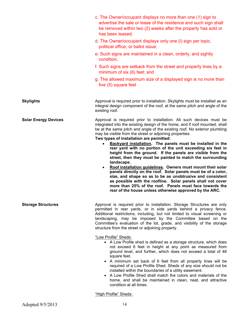|                             | c. The Owner/occupant displays no more than one (1) sign to<br>advertise the sale or lease of the residence and such sign shall<br>be removed within two (2) weeks after the property has sold or<br>has been leased;                                                                                                                                                                                                                                                                                                                                                                                                                                      |
|-----------------------------|------------------------------------------------------------------------------------------------------------------------------------------------------------------------------------------------------------------------------------------------------------------------------------------------------------------------------------------------------------------------------------------------------------------------------------------------------------------------------------------------------------------------------------------------------------------------------------------------------------------------------------------------------------|
|                             | d. The Owner/occupant displays only one (I) sign per topic,<br>political office, or ballot issue;                                                                                                                                                                                                                                                                                                                                                                                                                                                                                                                                                          |
|                             | e. Such signs are maintained in a clean, orderly, and sightly<br>condition;                                                                                                                                                                                                                                                                                                                                                                                                                                                                                                                                                                                |
|                             | f. Such signs are setback from the street and property lines by a<br>minimum of six (6) feet; and                                                                                                                                                                                                                                                                                                                                                                                                                                                                                                                                                          |
|                             | g. The allowed maximum size of a displayed sign is no more than<br>five (5) square feet                                                                                                                                                                                                                                                                                                                                                                                                                                                                                                                                                                    |
| <b>Skylights</b>            | Approval is required prior to installation. Skylights must be installed as an<br>integral design component of the roof, at the same pitch and angle of the<br>existing roof.                                                                                                                                                                                                                                                                                                                                                                                                                                                                               |
| <b>Solar Energy Devices</b> | Approval is required prior to installation. All such devices must be<br>integrated into the existing design of the home, and if roof mounted, shall<br>be at the same pitch and angle of the existing roof. No exterior plumbing<br>may be visible from the street or adjoining properties.<br>Two types of installation are permitted:                                                                                                                                                                                                                                                                                                                    |
|                             | Backyard installation. The panels must be installed in the<br>rear yard with no portion of the unit exceeding six feet in<br>height from the ground. If the panels are visible from the<br>street, then they must be painted to match the surrounding<br>landscape.<br>Roof installation guidelines. Owners must mount their solar<br>٠<br>panels directly on the roof. Solar panels must be of a color,<br>size, and shape so as to be as unobtrusive and consistent<br>as possible with the roofline. Solar panels shall not cover<br>more than 25% of the roof. Panels must face towards the<br>rear of the house unless otherwise approved by the ARC. |
| <b>Storage Structures</b>   | Approval is required prior to installation. Storage Structures are only<br>permitted in rear yards, or in side yards behind a privacy fence.<br>Additional restrictions, including, but not limited to visual screening or<br>landscaping, may be imposed by the Committee based on the<br>Committee's evaluation of the lot, grade, and visibility of the storage<br>structure from the street or adjoining property.                                                                                                                                                                                                                                     |
|                             | "Low Profile" Sheds:<br>• A Low Profile shed is defined as a storage structure, which does<br>not exceed 6 feet in height at any point as measured from<br>ground level, and further, which does not exceed a total of 48<br>square feet.<br>• A minimum set back of 6 feet from all property lines will be<br>required of a Low Profile Shed. Sheds of any size should not be<br>installed within the boundaries of a utility easement.<br>• A Low Profile Shed shall match the colors and materials of the<br>home, and shall be maintained in clean, neat, and attractive<br>condition at all times.                                                    |

"High Profile" Sheds: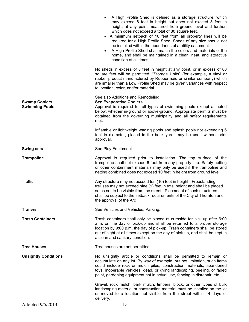|                                               | A High Profile Shed is defined as a storage structure, which<br>may exceed 6 feet in height but does not exceed 8 feet in<br>height at any point measured from ground level and further,<br>which does not exceed a total of 80 square feet.<br>• A minimum setback of 10 feet from all property lines will be<br>required for a High Profile Shed. Sheds of any size should not<br>be installed within the boundaries of a utility easement.<br>A High Profile Shed shall match the colors and materials of the<br>home, and shall be maintained in a clean, neat, and attractive<br>condition at all times. |
|-----------------------------------------------|---------------------------------------------------------------------------------------------------------------------------------------------------------------------------------------------------------------------------------------------------------------------------------------------------------------------------------------------------------------------------------------------------------------------------------------------------------------------------------------------------------------------------------------------------------------------------------------------------------------|
|                                               | No sheds in excess of 8 feet in height at any point, or in excess of 80<br>square feet will be permitted. "Storage Units" (for example, a vinyl or<br>rubber product manufactured by Rubbermaid or similar company) which<br>are smaller than a Low Profile Shed may be given variances with respect<br>to location, color, and/or material.                                                                                                                                                                                                                                                                  |
| <b>Swamp Coolers</b><br><b>Swimming Pools</b> | See also Additions and Remodeling.<br>See Evaporative Coolers.<br>Approval is required for all types of swimming pools except at noted<br>below, whether in-ground or above-ground. Appropriate permits must be<br>obtained from the governing municipality and all safety requirements<br>met.                                                                                                                                                                                                                                                                                                               |
|                                               | Inflatable or lightweight wading pools and splash pools not exceeding 6<br>feet in diameter, placed in the back yard, may be used without prior<br>approval.                                                                                                                                                                                                                                                                                                                                                                                                                                                  |
| <b>Swing sets</b>                             | See Play Equipment.                                                                                                                                                                                                                                                                                                                                                                                                                                                                                                                                                                                           |
| <b>Trampoline</b>                             | Approval is required prior to installation. The top surface of the<br>trampoline shall not exceed 6 feet from any property line. Safety netting<br>or other containment materials may only be used if the trampoline and<br>netting combined does not exceed 10 feet in height from ground level.                                                                                                                                                                                                                                                                                                             |
| <b>Trellis</b>                                | Any structure may not exceed ten (10) feet in height. Freestanding<br>trellises may not exceed nine (9) feet in total height and shall be placed<br>so as not to be visible from the street. Placement of such structures<br>shall be subject to the setback requirements of the City of Thornton and<br>the approval of the Arc                                                                                                                                                                                                                                                                              |
| <b>Trailers</b>                               | See Vehicles and Vehicles, Parking.                                                                                                                                                                                                                                                                                                                                                                                                                                                                                                                                                                           |
| <b>Trash Containers</b>                       | Trash containers shall only be placed at curbside for pick-up after 6:00<br>a.m. on the day of pick-up and shall be returned to a proper storage<br>location by 9:00 p.m. the day of pick-up. Trash containers shall be stored<br>out of sight at all times except on the day of pick-up, and shall be kept in<br>a clean and sanitary condition.                                                                                                                                                                                                                                                             |
| <b>Tree Houses</b>                            | Tree houses are not permitted.                                                                                                                                                                                                                                                                                                                                                                                                                                                                                                                                                                                |
| <b>Unsightly Conditions</b>                   | No unsightly article or conditions shall be permitted to remain or<br>accumulate on any lot. By way of example, but not limitation, such items<br>could include rock or mulch piles, construction materials, abandoned<br>toys, inoperable vehicles, dead, or dying landscaping, peeling, or faded<br>paint, gardening equipment not in actual use, fencing in disrepair, etc.                                                                                                                                                                                                                                |
|                                               | Gravel, rock mulch, bark mulch, timbers, block, or other types of bulk<br>landscaping material or construction material must be installed on the lot<br>or moved to a location not visible from the street within 14 days of<br>delivery.                                                                                                                                                                                                                                                                                                                                                                     |
| Adopted 9/5/2013                              | 15                                                                                                                                                                                                                                                                                                                                                                                                                                                                                                                                                                                                            |